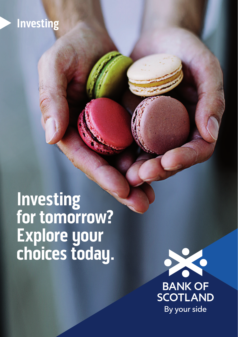## **Investing**

**Investing for tomorrow? Explore your choices today.**



**BANK OF<br>SCOTLAND** By your side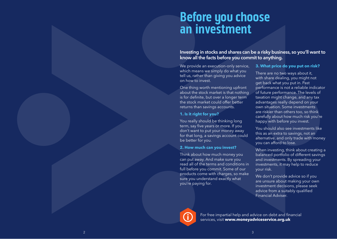# **Before you choose an investment**

Investing in stocks and shares can be a risky business, so you'll want to know all the facts before you commit to anything.

We provide an execution-only service, which means we simply do what you tell us, rather than giving you advice on how to invest.

One thing worth mentioning upfront about the stock market is that nothing is for definite, but over a longer term the stock market could offer better returns than savings accounts.

### **1. Is it right for you?**

You really should be thinking long term, say five years or more. If you don't want to put your money away for that long, a savings account could be better for you.

#### **2. How much can you invest?**

Think about how much money you can put away. And make sure you read all of the terms and conditions in full before you commit. Some of our products come with charges, so make sure you understand exactly what you're paying for.

#### **3. What price do you put on risk?**

There are no two ways about it, with share dealing, you might not get back what you put in. Past performance is not a reliable indicator of future performance. The levels of taxation might change, and any tax advantages really depend on your own situation. Some investments are riskier than others too, so think carefully about how much risk you're happy with before you invest.

You should also see investments like this as an extra to savings, not an alternative, and only trade with money you can afford to lose.

When investing, think about creating a balanced portfolio of different savings and investments. By spreading your investments, it may help to reduce your risk.

We don't provide advice so if you are unsure about making your own investment decisions, please seek advice from a suitably qualified Financial Adviser.



For free impartial help and advice on debt and financial services, visit **[www.moneyadviceservice.org.uk](http://www.moneyadviceservice.org.uk)**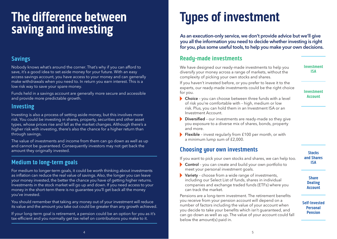# **The difference between saving and investing**

### **Savings**

Nobody knows what's around the corner. That's why if you can afford to save, it's a good idea to set aside money for your future. With an easy access savings account, you have access to your money and can generally make withdrawals when you need to. In return you earn interest. This is a low risk way to save your spare money.

Funds held in a savings account are generally more secure and accessible and provide more predictable growth.

### **Investing**

Investing is also a process of setting aside money, but this involves more risk. You could be investing in shares, property, securities and other asset types, whose prices rise and fall as the market changes. Although there's a higher risk with investing, there's also the chance for a higher return than through savings.

The value of investments and income from them can go down as well as up and cannot be guaranteed. Consequently investors may not get back the amount they originally invested.

## **Medium to long-term goals**

For medium to longer-term goals, it could be worth thinking about investments as inflation can reduce the real value of savings. Also, the longer you can leave your money invested, the better the chance you have of getting higher returns. Investments in the stock market will go up and down. If you need access to your money in the short-term there is no guarantee you'll get back all the money you've invested.

You should remember that taking any money out of your investment will reduce its value and the amount you take out could be greater than any growth achieved.

If your long-term goal is retirement, a pension could be an option for you as it's tax-efficient and you normally get tax relief on contributions you make to it.

# **Types of investment**

As an execution-only service, we don't provide advice but we'll give you all the information you need to decide whether investing is right for you, plus some useful tools, to help you make your own decisions.

### **Ready-made investments**

We have designed our ready-made investments to help you diversify your money across a range of markets, without the complexity of picking your own stocks and shares.

If you haven't invested before, or you prefer to leave it to the experts, our ready-made investments could be the right choice for you.

**Investment** 

**Investment ISA**

**Account**

- ▶ Choice you can choose between three funds with a level of risk you're comfortable with – high, medium or low risk. Plus, you can hold them in an Investment ISA or an Investment Account.
- Diversified our investments are ready-made so they give you exposure to a diverse mix of shares, bonds, property and more.
- Flexible invest regularly from £100 per month, or with a minimum lump sum of £2,000.

### **Choosing your own investments**

If you want to pick your own stocks and shares, we can help too.

- ▶ Control you can create and build your own portfolio to meet your personal investment goals.
- ▶ Variety choose from a wide range of investments, including our Select List of funds, shares in individual companies and exchange traded funds (ETFs) where you can track the market.

Pensions are a long-term investment. The retirement benefits you receive from your pension account will depend on a number of factors including the value of your account when you decide to take your benefits which isn't guaranteed, and can go down as well as up. The value of your account could fall below the amount(s) paid in.

**Stocks and Shares ISA**

**Share Dealing Account**

#### **Self-Invested Personal Pension**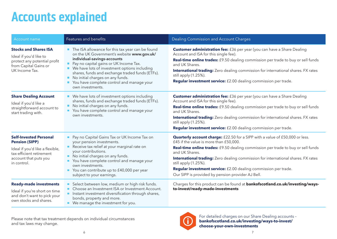# **Accounts explained**

| Account name                                                                                                                                                  | Features and benefits                                                                                                                                                                                                                                                                                                                                                             | <b>Dealing Commission and Account Charges</b>                                                                                                                                                                                                                                                                                                                                                                                                                                          |
|---------------------------------------------------------------------------------------------------------------------------------------------------------------|-----------------------------------------------------------------------------------------------------------------------------------------------------------------------------------------------------------------------------------------------------------------------------------------------------------------------------------------------------------------------------------|----------------------------------------------------------------------------------------------------------------------------------------------------------------------------------------------------------------------------------------------------------------------------------------------------------------------------------------------------------------------------------------------------------------------------------------------------------------------------------------|
| <b>Stocks and Shares ISA</b><br>Ideal if you'd like to<br>protect any potential profit<br>from Capital Gains or<br>UK Income Tax.                             | The ISA allowance for this tax year can be found<br>on the UK Government's website www.gov.uk/<br>individual-savings-accounts<br>Pay no capital gains or UK Income Tax.<br>■ We have lots of investment options including<br>shares, funds and exchange traded funds (ETFs).<br>No initial charges on any funds.<br>You have complete control and manage your<br>own investments. | <b>Customer administration fee:</b> £36 per year (you can have a Share Dealing<br>Account and ISA for this single fee).<br>Real-time online trades: £9.50 dealing commission per trade to buy or sell funds<br>and UK Shares.<br><b>International trading:</b> Zero dealing commission for international shares. FX rates<br>still apply (1.25%).<br>Regular investment service: £2.00 dealing commission per trade.                                                                   |
| <b>Share Dealing Account</b><br>Ideal if you'd like a<br>straightforward account to<br>start trading with.                                                    | ■ We have lots of investment options including<br>shares, funds and exchange traded funds (ETFs).<br>No initial charges on any funds.<br>You have complete control and manage your<br>own investments.                                                                                                                                                                            | <b>Customer administration fee:</b> £36 per year (you can have a Share Dealing<br>Account and ISA for this single fee).<br>Real-time online trades: £9.50 dealing commission per trade to buy or sell funds<br>and UK Shares.<br><b>International trading:</b> Zero dealing commission for international shares. FX rates<br>still apply (1.25%).<br>Regular investment service: £2.00 dealing commission per trade.                                                                   |
| <b>Self-Invested Personal</b><br><b>Pension (SIPP)</b><br>Ideal if you'd like a flexible,<br>tax-efficient retirement<br>account that puts you<br>in control. | Pay no Capital Gains Tax or UK Income Tax on<br>your pension investments.<br>Receive tax relief at your marginal rate on<br>your contributions.<br>No initial charges on any funds.<br>You have complete control and manage your<br>own investments.<br>You can contribute up to £40,000 per year<br>subject to your earnings.                                                    | <b>Quarterly account charge:</b> £22.50 for a SIPP with a value of £50,000 or less.<br>£45 if the value is more than £50,000.<br><b>Real-time online trades:</b> £9.50 dealing commission per trade to buy or sell funds<br>and UK Shares.<br><b>International trading:</b> Zero dealing commission for international shares. FX rates<br>still apply (1.25%).<br>Regular investment service: £2.00 dealing commission per trade.<br>Our SIPP is provided by pension provider AJ Bell. |
| <b>Ready-made investments</b><br>Ideal if you're short on time<br>and don't want to pick your<br>own stocks and shares.                                       | Select between low, medium or high risk funds.<br>■ Choose an Investment ISA or Investment Account.<br>Instant investment diversification through shares,<br>bonds, property and more.<br>■ We manage the investment for you.                                                                                                                                                     | Charges for this product can be found at bankofscotland.co.uk/investing/ways-<br>to-invest/ready-made-investments                                                                                                                                                                                                                                                                                                                                                                      |

Please note that tax treatment depends on individual circumstances and tax laws may change.



For detailed charges on our Share Dealing accounts – **[bankofscotland.co.uk/investing/ways-to-invest/](https://www.bankofscotland.co.uk/investing/ways-to-invest/choose-your-own-investments.html) [choose-your-own-investments](https://www.bankofscotland.co.uk/investing/ways-to-invest/choose-your-own-investments.html)**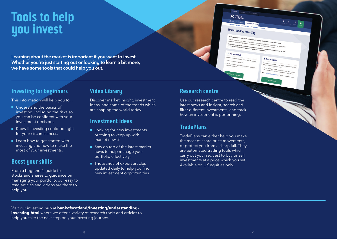# **Tools to help you invest**

Learning about the market is important if you want to invest. Whether you're just starting out or looking to learn a bit more, we have some tools that could help you out.

### **Investing for beginners**

This information will help you to...

- **Understand the basics of** investing, including the risks so you can be confident with your investment decisions.
- Know if investing could be right for your circumstances.
- Learn how to get started with investing and how to make the most of your investments.

### **Boost your skills**

From a beginner's guide to stocks and shares to guidance on managing your portfolio, our easy to read articles and videos are there to help you.

### **Video Library**

Discover market insight, investment ideas, and some of the trends which are shaping the world today.

### **Investment ideas**

- Looking for new investments or trying to keep up with market news?
- Stay on top of the latest market news to help manage your portfolio effectively.
- Thousands of expert articles updated daily to help you find new investment opportunities.

### **Research centre**

Use our research centre to read the latest news and insight, search and filter different investments, and track how an investment is performing.

**X** BANK OF

**Understanding Investing** 

*Boost Your Skills* 

### **TradePlans**

TradePlans can either help you make the most of share price movements, or protect you from a sharp fall. They are automated trading tools which carry out your request to buy or sell investments at a price which you set. Available on UK equities only.

Visit our investing hub at **[bankofscotland/investing/understanding](https://www.bankofscotland.co.uk/investing/understanding-investing.html?wt.ac=HalifaxInvestinghomepage/UnderstandingInvesting/button8)investing.html** where we offer a variety of research tools and articles to [help you take the next step on your investing journey.](https://www.bankofscotland.co.uk/investing/understanding-investing.html?wt.ac=HalifaxInvestinghomepage/UnderstandingInvesting/button8)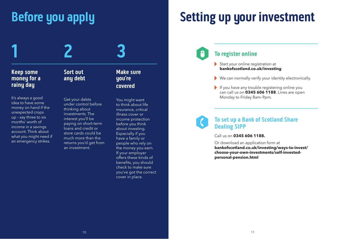# **Before you apply**



It's always a good idea to have some money on hand if the unexpected crops up – say three to six months' worth of income in a savings account. Think about what you might need if an emergency strikes.

**Sort out any debt**

**1 2 3**

Get your debts under control before thinking about investments. The interest you'll be paying on short-term loans and credit or store cards could be much more than the returns you'd get from an investment.

**Make sure you're covered**

You might want to think about life insurance, critical illness cover or income protection before you think about investing. Especially if you have a family or people who rely on the money you earn. If your employer offers these kinds of benefits, you should check to make sure you've got the correct cover in place.

# **Setting up your investment**



- Start your online registration at **[bankofscotland.co.uk/investing](https://www.bankofscotland.co.uk/investing.html)**
- We can normally verify your identity electronically.
- If you have any trouble registering online you can call us on **0345 606 1188**. Lines are open Monday to Friday 8am–9pm.



### **To set up a Bank of Scotland Share Dealing SIPP**

Call us on **0345 606 1188.** 

Or download an application form at **[bankofscotland.co.uk/investing/ways-to-invest/](https://www.bankofscotland.co.uk/investing/ways-to-invest/choose-your-own-investments/self-invested-personal-pension.html) [choose-your-own-investments/self-invested](https://www.bankofscotland.co.uk/investing/ways-to-invest/choose-your-own-investments/self-invested-personal-pension.html)[personal-pension.html](https://www.bankofscotland.co.uk/investing/ways-to-invest/choose-your-own-investments/self-invested-personal-pension.html)**